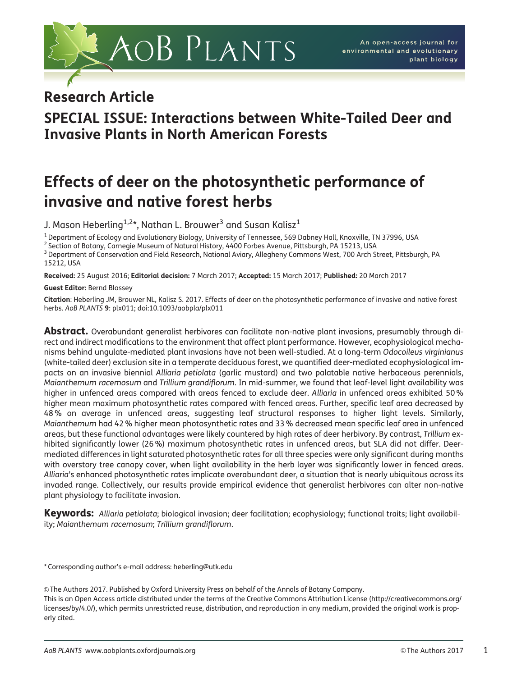

## Research Article

# SPECIAL ISSUE: Interactions between White-Tailed Deer and Invasive Plants in North American Forests

# Effects of deer on the photosynthetic performance of invasive and native forest herbs

J. Mason Heberling<sup>1,2\*</sup>, Nathan L. Brouwer<sup>3</sup> and Susan Kalisz<sup>1</sup>

<sup>1</sup> Department of Ecology and Evolutionary Biology, University of Tennessee, 569 Dabney Hall, Knoxville, TN 37996, USA

<sup>2</sup> Section of Botany, Carnegie Museum of Natural History, 4400 Forbes Avenue, Pittsburgh, PA 15213, USA

<sup>3</sup> Department of Conservation and Field Research, National Aviary, Allegheny Commons West, 700 Arch Street, Pittsburgh, PA 15212, USA

Received: 25 August 2016; Editorial decision: 7 March 2017; Accepted: 15 March 2017; Published: 20 March 2017

#### Guest Editor: Bernd Blossey

Citation: Heberling JM, Brouwer NL, Kalisz S. 2017. Effects of deer on the photosynthetic performance of invasive and native forest herbs. AoB PLANTS 9: plx011; doi:10.1093/aobpla/plx011

Abstract. Overabundant generalist herbivores can facilitate non-native plant invasions, presumably through direct and indirect modifications to the environment that affect plant performance. However, ecophysiological mechanisms behind ungulate-mediated plant invasions have not been well-studied. At a long-term Odocoileus virginianus (white-tailed deer) exclusion site in a temperate deciduous forest, we quantified deer-mediated ecophysiological impacts on an invasive biennial Alliaria petiolata (garlic mustard) and two palatable native herbaceous perennials, Maianthemum racemosum and Trillium grandiflorum. In mid-summer, we found that leaf-level light availability was higher in unfenced areas compared with areas fenced to exclude deer. Alliaria in unfenced areas exhibited 50% higher mean maximum photosynthetic rates compared with fenced areas. Further, specific leaf area decreased by 48 % on average in unfenced areas, suggesting leaf structural responses to higher light levels. Similarly, Maianthemum had 42 % higher mean photosynthetic rates and 33 % decreased mean specific leaf area in unfenced areas, but these functional advantages were likely countered by high rates of deer herbivory. By contrast, Trillium exhibited significantly lower (26 %) maximum photosynthetic rates in unfenced areas, but SLA did not differ. Deermediated differences in light saturated photosynthetic rates for all three species were only significant during months with overstory tree canopy cover, when light availability in the herb layer was significantly lower in fenced areas. Alliaria's enhanced photosynthetic rates implicate overabundant deer, a situation that is nearly ubiquitous across its invaded range. Collectively, our results provide empirical evidence that generalist herbivores can alter non-native plant physiology to facilitate invasion.

Keywords: Alliaria petiolata; biological invasion; deer facilitation; ecophysiology; functional traits; light availability; Maianthemum racemosum; Trillium grandiflorum.

\* Corresponding author's e-mail address: heberling@utk.edu

V<sup>C</sup> The Authors 2017. Published by Oxford University Press on behalf of the Annals of Botany Company.

This is an Open Access article distributed under the terms of the Creative Commons Attribution License ([http://creativecommons.org/](http://creativecommons.org/licenses/by/4.0/) [licenses/by/4.0/](http://creativecommons.org/licenses/by/4.0/)), which permits unrestricted reuse, distribution, and reproduction in any medium, provided the original work is properly cited.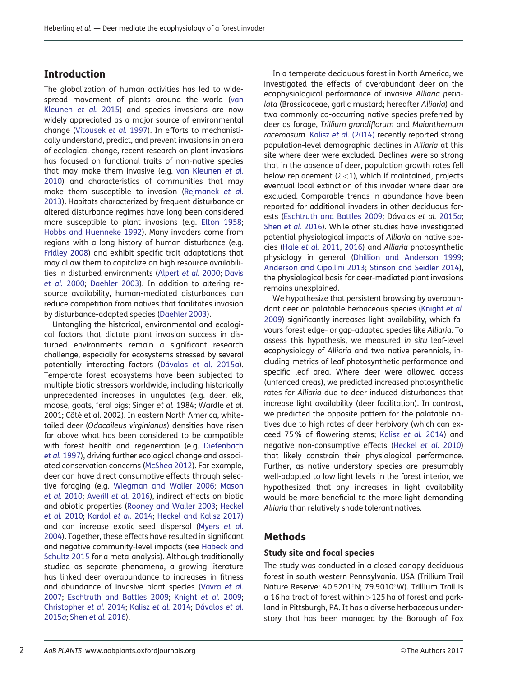## Introduction

The globalization of human activities has led to widespread movement of plants around the world ([van](#page-11-0) [Kleunen](#page-11-0) et al. 2015) and species invasions are now widely appreciated as a major source of environmental change ([Vitousek](#page-11-0) et al. 1997). In efforts to mechanistically understand, predict, and prevent invasions in an era of ecological change, recent research on plant invasions has focused on functional traits of non-native species that may make them invasive (e.g. [van Kleunen](#page-11-0) et al. [2010\)](#page-11-0) and characteristics of communities that may make them susceptible to invasion [\(Rejmanek](#page-11-0) et al. [2013\)](#page-11-0). Habitats characterized by frequent disturbance or altered disturbance regimes have long been considered more susceptible to plant invasions (e.g. [Elton 1958](#page-10-0); [Hobbs and Huenneke 1992](#page-10-0)). Many invaders come from regions with a long history of human disturbance (e.g. [Fridley 2008](#page-10-0)) and exhibit specific trait adaptations that may allow them to capitalize on high resource availabilities in disturbed environments [\(Alpert](#page-10-0) et al. 2000; [Davis](#page-10-0) [et al.](#page-10-0) 2000; [Daehler 2003](#page-10-0)). In addition to altering resource availability, human-mediated disturbances can reduce competition from natives that facilitates invasion by disturbance-adapted species [\(Daehler 2003\)](#page-10-0).

Untangling the historical, environmental and ecological factors that dictate plant invasion success in disturbed environments remain a significant research challenge, especially for ecosystems stressed by several potentially interacting factors (Dávalos et al. 2015a). Temperate forest ecosystems have been subjected to multiple biotic stressors worldwide, including historically unprecedented increases in ungulates (e.g. deer, elk, moose, goats, feral pigs; Singer et al. 1984; Wardle et al. 2001; Côté et al. 2002). In eastern North America, whitetailed deer (Odocoileus virginianus) densities have risen far above what has been considered to be compatible with forest health and regeneration (e.g. [Diefenbach](#page-10-0) et al. [1997\)](#page-10-0), driving further ecological change and associated conservation concerns [\(McShea 2012](#page-11-0)). For example, deer can have direct consumptive effects through selective foraging (e.g. [Wiegman and Waller 2006](#page-11-0); [Mason](#page-11-0) et al. [2010;](#page-11-0) [Averill](#page-10-0) et al. 2016), indirect effects on biotic and abiotic properties [\(Rooney and Waller 2003;](#page-11-0) [Heckel](#page-10-0) [et al.](#page-10-0) 2010; [Kardol](#page-10-0) et al. 2014; [Heckel and Kalisz 2017\)](#page-10-0) and can increase exotic seed dispersal [\(Myers](#page-11-0) et al. [2004\)](#page-11-0). Together, these effects have resulted in significant and negative community-level impacts (see [Habeck and](#page-10-0) [Schultz 2015](#page-10-0) for a meta-analysis). Although traditionally studied as separate phenomena, a growing literature has linked deer overabundance to increases in fitness and abundance of invasive plant species ([Vavra](#page-11-0) et al. [2007;](#page-11-0) [Eschtruth and Battles 2009;](#page-10-0) [Knight](#page-10-0) et al. 2009; [Christopher](#page-10-0) et al. 2014; [Kalisz](#page-10-0) et al. 2014; Dávalos et al. [2015](#page-10-0)a; [Shen](#page-11-0) et al. 2016).

In a temperate deciduous forest in North America, we investigated the effects of overabundant deer on the ecophysiological performance of invasive Alliaria petiolata (Brassicaceae, garlic mustard; hereafter Alliaria) and two commonly co-occurring native species preferred by deer as forage, Trillium grandiflorum and Maianthemum racemosum. Kalisz et al. [\(2014\)](#page-10-0) recently reported strong population-level demographic declines in Alliaria at this site where deer were excluded. Declines were so strong that in the absence of deer, population growth rates fell below replacement  $(\lambda < 1)$ , which if maintained, projects eventual local extinction of this invader where deer are excluded. Comparable trends in abundance have been reported for additional invaders in other deciduous for-ests ([Eschtruth and Battles 2009](#page-10-0); Dávalos et al. [2015](#page-10-0)a; Shen et al. [2016\)](#page-11-0). While other studies have investigated potential physiological impacts of Alliaria on native species (Hale et al. [2011,](#page-10-0) [2016](#page-10-0)) and Alliaria photosynthetic physiology in general ([Dhillion and Anderson 1999](#page-10-0); [Anderson and Cipollini 2013](#page-10-0); [Stinson and Seidler 2014](#page-11-0)), the physiological basis for deer-mediated plant invasions remains unexplained.

We hypothesize that persistent browsing by overabundant deer on palatable herbaceous species ([Knight](#page-10-0) et al. [2009\)](#page-10-0) significantly increases light availability, which favours forest edge- or gap-adapted species like Alliaria. To assess this hypothesis, we measured in situ leaf-level ecophysiology of Alliaria and two native perennials, including metrics of leaf photosynthetic performance and specific leaf area. Where deer were allowed access (unfenced areas), we predicted increased photosynthetic rates for Alliaria due to deer-induced disturbances that increase light availability (deer facilitation). In contrast, we predicted the opposite pattern for the palatable natives due to high rates of deer herbivory (which can exceed 75 % of flowering stems; [Kalisz](#page-10-0) et al. 2014) and negative non-consumptive effects ([Heckel](#page-10-0) et al. 2010) that likely constrain their physiological performance. Further, as native understory species are presumably well-adapted to low light levels in the forest interior, we hypothesized that any increases in light availability would be more beneficial to the more light-demanding Alliaria than relatively shade tolerant natives.

## Methods

#### Study site and focal species

The study was conducted in a closed canopy deciduous forest in south western Pennsylvania, USA (Trillium Trail Nature Reserve: 40.5201°N; 79.9010°W). Trillium Trail is a 16 ha tract of forest within  $>$  125 ha of forest and parkland in Pittsburgh, PA. It has a diverse herbaceous understory that has been managed by the Borough of Fox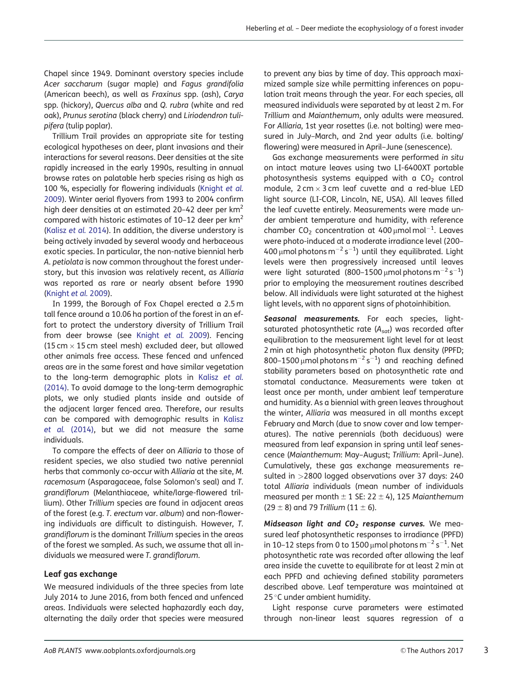Chapel since 1949. Dominant overstory species include Acer saccharum (sugar maple) and Fagus grandifolia (American beech), as well as Fraxinus spp. (ash), Carya spp. (hickory), Quercus alba and Q. rubra (white and red oak), Prunus serotina (black cherry) and Liriodendron tulipifera (tulip poplar).

Trillium Trail provides an appropriate site for testing ecological hypotheses on deer, plant invasions and their interactions for several reasons. Deer densities at the site rapidly increased in the early 1990s, resulting in annual browse rates on palatable herb species rising as high as 100 %, especially for flowering individuals ([Knight](#page-10-0) et al. [2009\)](#page-10-0). Winter aerial flyovers from 1993 to 2004 confirm high deer densities at an estimated 20-42 deer per  $km^2$ compared with historic estimates of  $10-12$  deer per km<sup>2</sup> ([Kalisz](#page-10-0) et al. 2014). In addition, the diverse understory is being actively invaded by several woody and herbaceous exotic species. In particular, the non-native biennial herb A. petiolata is now common throughout the forest understory, but this invasion was relatively recent, as Alliaria was reported as rare or nearly absent before 1990 ([Knight](#page-10-0) et al. 2009).

In 1999, the Borough of Fox Chapel erected a 2.5 m tall fence around a 10.06 ha portion of the forest in an effort to protect the understory diversity of Trillium Trail from deer browse (see [Knight](#page-10-0) et al. 2009). Fencing (15 cm  $\times$  15 cm steel mesh) excluded deer, but allowed other animals free access. These fenced and unfenced areas are in the same forest and have similar vegetation to the long-term demographic plots in Kalisz [et al.](#page-10-0) [\(2014\).](#page-10-0) To avoid damage to the long-term demographic plots, we only studied plants inside and outside of the adjacent larger fenced area. Therefore, our results can be compared with demographic results in [Kalisz](#page-10-0) et al. [\(2014\),](#page-10-0) but we did not measure the same individuals.

To compare the effects of deer on Alliaria to those of resident species, we also studied two native perennial herbs that commonly co-occur with Alliaria at the site, M. racemosum (Asparagaceae, false Solomon's seal) and T. grandiflorum (Melanthiaceae, white/large-flowered trillium). Other Trillium species are found in adjacent areas of the forest (e.g. T. erectum var. album) and non-flowering individuals are difficult to distinguish. However, T. grandiflorum is the dominant Trillium species in the areas of the forest we sampled. As such, we assume that all individuals we measured were T. grandiflorum.

### Leaf gas exchange

We measured individuals of the three species from late July 2014 to June 2016, from both fenced and unfenced areas. Individuals were selected haphazardly each day, alternating the daily order that species were measured to prevent any bias by time of day. This approach maximized sample size while permitting inferences on population trait means through the year. For each species, all measured individuals were separated by at least 2 m. For Trillium and Maianthemum, only adults were measured. For Alliaria, 1st year rosettes (i.e. not bolting) were measured in July–March, and 2nd year adults (i.e. bolting/ flowering) were measured in April–June (senescence).

Gas exchange measurements were performed in situ on intact mature leaves using two LI-6400XT portable photosynthesis systems equipped with a  $CO<sub>2</sub>$  control module,  $2 \text{ cm} \times 3 \text{ cm}$  leaf cuvette and a red-blue LED light source (LI-COR, Lincoln, NE, USA). All leaves filled the leaf cuvette entirely. Measurements were made under ambient temperature and humidity, with reference chamber CO<sub>2</sub> concentration at 400  $\mu$ molmol $^{-1}$ . Leaves were photo-induced at a moderate irradiance level (200– 400 µmol photons m<sup>-2</sup> s<sup>-1</sup>) until they equilibrated. Light levels were then progressively increased until leaves were light saturated (800–1500  $\mu$ mol $p$ hotons $m^{-2}$ s $^{-1}$ ) prior to employing the measurement routines described below. All individuals were light saturated at the highest light levels, with no apparent signs of photoinhibition.

Seasonal measurements. For each species, lightsaturated photosynthetic rate  $(A_{sat})$  was recorded after equilibration to the measurement light level for at least 2 min at high photosynthetic photon flux density (PPFD; 800-1500  $\mu$ mol photons m<sup>-2</sup> s<sup>-1</sup>) and reaching defined stability parameters based on photosynthetic rate and stomatal conductance. Measurements were taken at least once per month, under ambient leaf temperature and humidity. As a biennial with green leaves throughout the winter, Alliaria was measured in all months except February and March (due to snow cover and low temperatures). The native perennials (both deciduous) were measured from leaf expansion in spring until leaf senescence (Maianthemum: May–August; Trillium: April–June). Cumulatively, these gas exchange measurements resulted in >2800 logged observations over 37 days: 240 total Alliaria individuals (mean number of individuals measured per month  $\pm$  1 SE: 22  $\pm$  4), 125 Maianthemum (29  $\pm$  8) and 79 Trillium (11  $\pm$  6).

Midseason light and  $CO<sub>2</sub>$  response curves. We measured leaf photosynthetic responses to irradiance (PPFD) in 10–12 steps from 0 to 1500  $\mu$ mol photons m $^{-2}$  s $^{-1}$ . Net photosynthetic rate was recorded after allowing the leaf area inside the cuvette to equilibrate for at least 2 min at each PPFD and achieving defined stability parameters described above. Leaf temperature was maintained at 25 °C under ambient humidity.

Light response curve parameters were estimated through non-linear least squares regression of a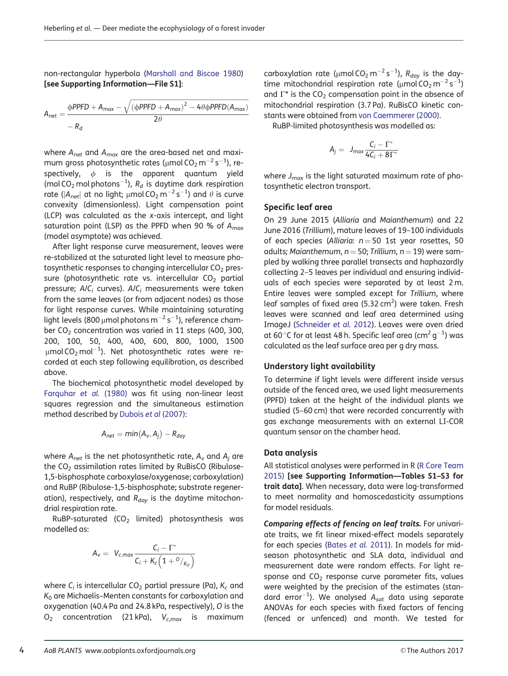non-rectangular hyperbola ([Marshall and Biscoe 1980\)](#page-10-0) [see Supporting Information—File S1]:

$$
A_{net} = \frac{\varphi PPFD + A_{max} - \sqrt{(\varphi PPFD + A_{max})^2 - 4\theta \varphi PPFD(A_{max})}}{2\theta}
$$

where  $A_{net}$  and  $A_{max}$  are the area-based net and maximum gross photosynthetic rates ( $\mu$ mol CO $_2$  m $^{-2}$  s $^{-1}$ ), respectively,  $\phi$  is the apparent quantum yield (mol CO<sub>2</sub> mol photons<sup>-1</sup>),  $R_d$  is daytime dark respiration rate (|A $_{net}$ | at no light;  $\mu$ mol CO $_{2}$  m $^{-2}$  s $^{-1}$ ) and  $\theta$  is curve convexity (dimensionless). Light compensation point (LCP) was calculated as the x-axis intercept, and light saturation point (LSP) as the PPFD when 90 % of  $A_{max}$ (model asymptote) was achieved.

After light response curve measurement, leaves were re-stabilized at the saturated light level to measure photosynthetic responses to changing intercellular  $CO<sub>2</sub>$  pressure (photosynthetic rate vs. intercellular  $CO<sub>2</sub>$  partial pressure;  $A/C_i$  curves).  $A/C_i$  measurements were taken from the same leaves (or from adjacent nodes) as those for light response curves. While maintaining saturating light levels (800  $\mu$ mol photons m $^{-2}$  s $^{-1}$ ), reference chamber  $CO<sub>2</sub>$  concentration was varied in 11 steps (400, 300, 200, 100, 50, 400, 400, 600, 800, 1000, 1500  $\mu$ mol CO<sub>2</sub> mol $^{-1}$ ). Net photosynthetic rates were recorded at each step following equilibration, as described above.

The biochemical photosynthetic model developed by [Farquhar](#page-10-0) et al. (1980) was fit using non-linear least squares regression and the simultaneous estimation method described by [Dubois](#page-10-0) et al (2007):

$$
A_{net} = min(A_v, A_j) - R_{day}
$$

where  $A_{net}$  is the net photosynthetic rate,  $A_v$  and  $A_i$  are the  $CO<sub>2</sub>$  assimilation rates limited by RuBisCO (Ribulose-1,5-bisphosphate carboxylase/oxygenase; carboxylation) and RuBP (Ribulose-1,5-bisphosphate; substrate regeneration), respectively, and  $R_{day}$  is the daytime mitochondrial respiration rate.

RuBP-saturated (CO<sub>2</sub> limited) photosynthesis was modelled as:

$$
A_{v} = V_{c,max} \frac{C_{i} - \Gamma^{*}}{C_{i} + K_{c} \left(1 + \frac{O}{K_{o}}\right)}
$$

where  $C_i$  is intercellular CO<sub>2</sub> partial pressure (Pa),  $K_c$  and  $K_0$  are Michaelis-Menten constants for carboxylation and oxygenation (40.4 Pa and 24.8 kPa, respectively), O is the  $O_2$  concentration (21 kPa),  $V_{c,max}$  is maximum

carboxylation rate (µmol CO<sub>2</sub> m<sup>-2</sup> s<sup>-1</sup>),  $R_{day}$  is the daytime mitochondrial respiration rate ( $\mu$ mol $\text{CO}_2\,\text{m}^{-2}\,\text{s}^{-1}$ ) and  $\Gamma^*$  is the CO<sub>2</sub> compensation point in the absence of mitochondrial respiration (3.7 Pa). RuBisCO kinetic constants were obtained from [von Caemmerer \(2000\)](#page-11-0).

RuBP-limited photosynthesis was modelled as:

$$
A_j = J_{max} \frac{C_i - \Gamma^*}{4C_i + 8\Gamma^*}
$$

where  $J_{max}$  is the light saturated maximum rate of photosynthetic electron transport.

#### Specific leaf area

On 29 June 2015 (Alliaria and Maianthemum) and 22 June 2016 (Trillium), mature leaves of 19–100 individuals of each species (Alliaria:  $n = 50$  1st year rosettes, 50 adults; Maianthemum,  $n = 50$ ; Trillium,  $n = 19$ ) were sampled by walking three parallel transects and haphazardly collecting 2–5 leaves per individual and ensuring individuals of each species were separated by at least 2 m. Entire leaves were sampled except for Trillium, where leaf samples of fixed area (5.32  $cm<sup>2</sup>$ ) were taken. Fresh leaves were scanned and leaf area determined using ImageJ ([Schneider](#page-11-0) et al. 2012). Leaves were oven dried at 60 °C for at least 48 h. Specific leaf area (cm $^2$  g $^{-1}$ ) was calculated as the leaf surface area per g dry mass.

#### Understory light availability

To determine if light levels were different inside versus outside of the fenced area, we used light measurements (PPFD) taken at the height of the individual plants we studied (5–60 cm) that were recorded concurrently with gas exchange measurements with an external LI-COR quantum sensor on the chamber head.

#### Data analysis

All statistical analyses were performed in R ([R Core Team](#page-11-0) [2015\)](#page-11-0) [see Supporting Information—Tables S1–S3 for trait data]. When necessary, data were log-transformed to meet normality and homoscedasticity assumptions for model residuals.

Comparing effects of fencing on leaf traits. For univariate traits, we fit linear mixed-effect models separately for each species ([Bates](#page-10-0) et al. 2011). In models for midseason photosynthetic and SLA data, individual and measurement date were random effects. For light response and  $CO<sub>2</sub>$  response curve parameter fits, values were weighted by the precision of the estimates (standard error<sup>-1</sup>). We analysed  $A_{sat}$  data using separate ANOVAs for each species with fixed factors of fencing (fenced or unfenced) and month. We tested for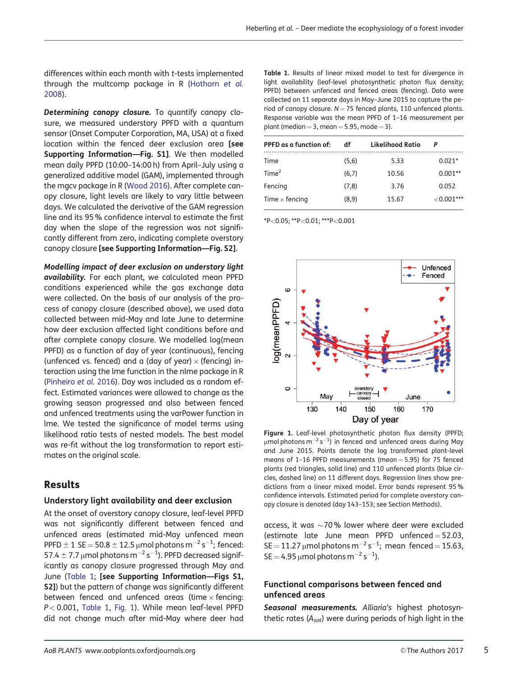differences within each month with t-tests implemented through the multcomp package in R [\(Hothorn](#page-10-0) et al. [2008\)](#page-10-0).

Determining canopy closure. To quantify canopy closure, we measured understory PPFD with a quantum sensor (Onset Computer Corporation, MA, USA) at a fixed location within the fenced deer exclusion area [see Supporting Information—Fig. S1]. We then modelled mean daily PPFD (10:00–14:00 h) from April–July using a generalized additive model (GAM), implemented through the mgcv package in R ([Wood 2016](#page-11-0)). After complete canopy closure, light levels are likely to vary little between days. We calculated the derivative of the GAM regression line and its 95 % confidence interval to estimate the first day when the slope of the regression was not significantly different from zero, indicating complete overstory canopy closure [see Supporting Information—Fig. S2].

Modelling impact of deer exclusion on understory light availability. For each plant, we calculated mean PPFD conditions experienced while the gas exchange data were collected. On the basis of our analysis of the process of canopy closure (described above), we used data collected between mid-May and late June to determine how deer exclusion affected light conditions before and after complete canopy closure. We modelled log(mean PPFD) as a function of day of year (continuous), fencing (unfenced vs. fenced) and a (day of year)  $\times$  (fencing) interaction using the lme function in the nlme package in R ([Pinheiro](#page-11-0) et al. 2016). Day was included as a random effect. Estimated variances were allowed to change as the growing season progressed and also between fenced and unfenced treatments using the varPower function in lme. We tested the significance of model terms using likelihood ratio tests of nested models. The best model was re-fit without the log transformation to report estimates on the original scale.

## Results

#### Understory light availability and deer exclusion

At the onset of overstory canopy closure, leaf-level PPFD was not significantly different between fenced and unfenced areas (estimated mid-May unfenced mean <code>PPFD</code>  $\pm$  1 SE  $=$  50.8  $\pm$  12.5  $\mu$ mol photons m $^{-2}$  s $^{-1}$ ; fenced: 57.4  $\pm$  7.7 µmol photons m<sup>-2</sup> s<sup>-1</sup>). PPFD decreased significantly as canopy closure progressed through May and June (Table 1; [see Supporting Information—Figs S1, S2]) but the pattern of change was significantly different between fenced and unfenced areas (time  $\times$  fencing:  $P < 0.001$ , Table 1, Fig. 1). While mean leaf-level PPFD did not change much after mid-May where deer had

Table 1. Results of linear mixed model to test for divergence in light availability (leaf-level photosynthetic photon flux density; PPFD) between unfenced and fenced areas (fencing). Data were collected on 11 separate days in May–June 2015 to capture the period of canopy closure.  $N = 75$  fenced plants, 110 unfenced plants. Response variable was the mean PPFD of 1–16 measurement per plant (median  $=$  3, mean  $=$  5.95, mode  $=$  3).

| PPFD as a function of: | df    | <b>Likelihood Ratio</b> | p            |
|------------------------|-------|-------------------------|--------------|
| Time                   | (5,6) | 5.33                    | $0.021*$     |
| Time <sup>2</sup>      | (6,7) | 10.56                   | $0.001**$    |
| Fencing                | (7,8) | 3.76                    | 0.052        |
| Time $\times$ fencing  | (8,9) | 15.67                   | $< 0.001***$ |

\*P<0.05; \*\*P<0.01; \*\*\*P<0.001



Figure 1. Leaf-level photosynthetic photon flux density (PPFD;  $\mu$ mol photons m $^{-2}$  s $^{-1}$ ) in fenced and unfenced areas during May and June 2015. Points denote the log transformed plant-level means of 1-16 PPFD measurements (mean  $=$  5.95) for 75 fenced plants (red triangles, solid line) and 110 unfenced plants (blue circles, dashed line) on 11 different days. Regression lines show predictions from a linear mixed model. Error bands represent 95 % confidence intervals. Estimated period for complete overstory canopy closure is denoted (day 143–153; see Section Methods).

access, it was  $\sim$ 70% lower where deer were excluded (estimate late June mean PPFD unfenced  $=$  52.03,  $SE = 11.27$  µmol photons m<sup>-2</sup> s<sup>-1</sup>; mean fenced = 15.63,  $SE = 4.95$  µmol photons m<sup>-2</sup> s<sup>-1</sup>).

#### Functional comparisons between fenced and unfenced areas

Seasonal measurements. Alliaria's highest photosynthetic rates ( $A_{sat}$ ) were during periods of high light in the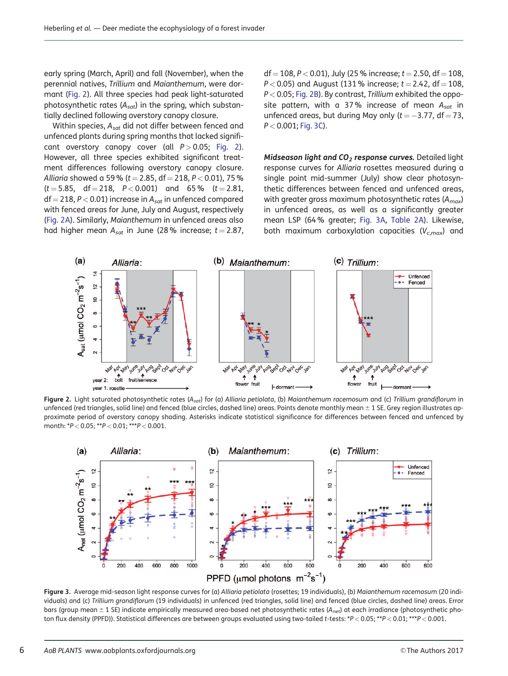<span id="page-5-0"></span>early spring (March, April) and fall (November), when the perennial natives, Trillium and Maianthemum, were dormant (Fig. 2). All three species had peak light-saturated photosynthetic rates  $(A<sub>sat</sub>)$  in the spring, which substantially declined following overstory canopy closure.

Within species,  $A_{sat}$  did not differ between fenced and unfenced plants during spring months that lacked significant overstory canopy cover (all  $P > 0.05$ ; Fig. 2). However, all three species exhibited significant treatment differences following overstory canopy closure. Alliaria showed a 59% (t = 2.85, df = 218, P < 0.01), 75%  $(t = 5.85, df = 218, P < 0.001)$  and 65%  $(t = 2.81,$  $df = 218$ ,  $P < 0.01$ ) increase in  $A_{sat}$  in unfenced compared with fenced areas for June, July and August, respectively (Fig. 2A). Similarly, Maianthemum in unfenced areas also had higher mean  $A_{sat}$  in June (28% increase;  $t = 2.87$ ,

 $df = 108$ ,  $P < 0.01$ ), July (25 % increase;  $t = 2.50$ , df = 108,  $P < 0.05$ ) and August (131% increase;  $t = 2.42$ , df = 108,  $P < 0.05$ ; Fig. 2B). By contrast, Trillium exhibited the opposite pattern, with a 37% increase of mean  $A_{sat}$  in unfenced areas, but during May only ( $t = -3.77$ , df = 73,  $P < 0.001$ ; Fig. 3C).

Midseason light and  $CO<sub>2</sub>$  response curves. Detailed light response curves for Alliaria rosettes measured during a single point mid-summer (July) show clear photosynthetic differences between fenced and unfenced areas, with greater gross maximum photosynthetic rates ( $A_{max}$ ) in unfenced areas, as well as a significantly greater mean LSP (64 % greater; Fig. 3A, [Table 2A\)](#page-6-0). Likewise, both maximum carboxylation capacities ( $V_{c,max}$ ) and



Figure 2. Light saturated photosynthetic rates (A<sub>sat</sub>) for (a) Alliaria petiolata, (b) Maianthemum racemosum and (c) Trillium grandiflorum in unfenced (red triangles, solid line) and fenced (blue circles, dashed line) areas. Points denote monthly mean  $\pm$  1 SE. Grey region illustrates approximate period of overstory canopy shading. Asterisks indicate statistical significance for differences between fenced and unfenced by month: \*P < 0.05; \*\*P < 0.01; \*\*\*P < 0.001.



Figure 3. Average mid-season light response curves for (a) Alliaria petiolata (rosettes; 19 individuals), (b) Maianthemum racemosum (20 individuals) and (c) Trillium grandiflorum (19 individuals) in unfenced (red triangles, solid line) and fenced (blue circles, dashed line) areas. Error bars (group mean  $\pm$  1 SE) indicate empirically measured area-based net photosynthetic rates ( $A_{net}$ ) at each irradiance (photosynthetic photon flux density (PPFD)). Statistical differences are between groups evaluated using two-tailed t-tests: \*P < 0.05; \*\*P < 0.01; \*\*\*P < 0.001.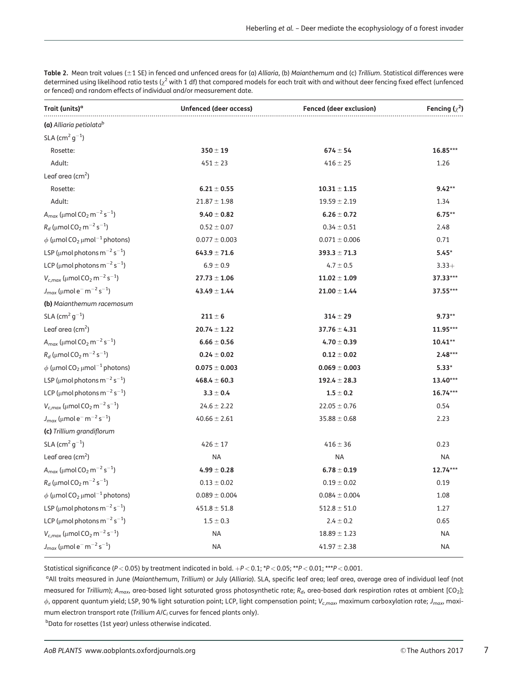<span id="page-6-0"></span>

| Table 2. Mean trait values (±1 SE) in fenced and unfenced areas for (a) Alliaria, (b) Maianthemum and (c) Trillium. Statistical differences were       |
|--------------------------------------------------------------------------------------------------------------------------------------------------------|
| determined using likelihood ratio tests ( $\chi^2$ with 1 df) that compared models for each trait with and without deer fencing fixed effect (unfenced |
| or fenced) and random effects of individual and/or measurement date.                                                                                   |

| Trait (units) <sup>a</sup>                                          | <b>Unfenced (deer access)</b> | <b>Fenced (deer exclusion)</b>  | Fencing $(\gamma^2)$ |
|---------------------------------------------------------------------|-------------------------------|---------------------------------|----------------------|
| (a) Alliaria petiolata <sup>b</sup>                                 |                               |                                 |                      |
| SLA (cm <sup>2</sup> $g^{-1}$ )                                     |                               |                                 |                      |
| Rosette:                                                            | $350 \pm 19$                  | $674 \pm 54$                    | $16.85***$           |
| Adult:                                                              | $451 \pm 23$                  | $416 \pm 25$                    | 1.26                 |
| Leaf area ( $cm2$ )                                                 |                               |                                 |                      |
| Rosette:                                                            | $6.21 \pm 0.55$               | $10.31 \pm 1.15$                | $9.42**$             |
| Adult:                                                              | $21.87 \pm 1.98$              | $19.59 \pm 2.19$                | 1.34                 |
| $A_{max}$ (µmol CO <sub>2</sub> m <sup>-2</sup> s <sup>-1</sup> )   | $9.40 \pm 0.82$               | $6.26 \pm 0.72$                 | $6.75**$             |
| $R_d$ (µmol CO <sub>2</sub> m <sup>-2</sup> s <sup>-1</sup> )       | $0.52 \pm 0.07$               | $0.34 \pm 0.51$                 | 2.48                 |
| $\phi$ (μmol CO <sub>2</sub> μmol <sup>-1</sup> photons)            | $0.077 \pm 0.003$             | $0.071 \pm 0.006$               | 0.71                 |
| LSP ( $\mu$ mol photons m <sup>-2</sup> s <sup>-1</sup> )           | $643.9 \pm 71.6$              | $393.3 \pm 71.3$                | $5.45*$              |
| LCP ( $\mu$ mol photons m <sup>-2</sup> s <sup>-1</sup> )           | $6.9 \pm 0.9$                 | $4.7 \pm 0.5$                   | $3.33+$              |
| $V_{c,max}$ (µmol CO <sub>2</sub> m <sup>-2</sup> s <sup>-1</sup> ) | $27.73 \pm 1.06$              | $11.02 \pm 1.09$                | 37.33***             |
| $J_{max}$ (µmol e <sup>-</sup> m <sup>-2</sup> s <sup>-1</sup> )    | $43.49 \pm 1.44$              | $21.00 \pm 1.44$                | 37.55***             |
| (b) Maianthemum racemosum                                           |                               |                                 |                      |
| SLA (cm <sup>2</sup> g <sup>-1</sup> )                              | $211 \pm 6$                   | $314 \pm 29$                    | $9.73**$             |
| Leaf area ( $cm2$ )                                                 | $20.74 \pm 1.22$              | $37.76 \pm 4.31$                | 11.95***             |
| $A_{max}$ (µmol CO <sub>2</sub> m <sup>-2</sup> s <sup>-1</sup> )   | $6.66\pm0.56$                 | $4.70 \pm 0.39$                 | $10.41**$            |
| $R_d$ (µmol CO <sub>2</sub> m <sup>-2</sup> s <sup>-1</sup> )       | $0.24 \pm 0.02$               | $0.12 \pm 0.02$                 | $2.48***$            |
| $\phi$ (μmol CO <sub>2</sub> μmol <sup>-1</sup> photons)            | $0.075 \pm 0.003$             | $0.069 \pm 0.003$               | $5.33*$              |
| LSP ( $\mu$ mol photons m <sup>-2</sup> s <sup>-1</sup> )           | $468.4 \pm 60.3$              | $192.4 \pm 28.3$                | 13.40***             |
| LCP ( $\mu$ mol photons m <sup>-2</sup> s <sup>-1</sup> )           | $3.3 \pm 0.4$                 | $\textbf{1.5} \pm \textbf{0.2}$ | $16.74***$           |
| $V_{c,max}$ (µmol CO <sub>2</sub> m <sup>-2</sup> s <sup>-1</sup> ) | $24.6 \pm 2.22$               | $22.05 \pm 0.76$                | 0.54                 |
| $J_{max}$ (µmol e <sup>-</sup> m <sup>-2</sup> s <sup>-1</sup> )    | $40.66 \pm 2.61$              | $35.88 \pm 0.68$                | 2.23                 |
| (c) Trillium grandiflorum                                           |                               |                                 |                      |
| SLA (cm <sup>2</sup> $g^{-1}$ )                                     | $426 \pm 17$                  | $416 \pm 36$                    | 0.23                 |
| Leaf area ( $cm2$ )                                                 | <b>NA</b>                     | <b>NA</b>                       | <b>NA</b>            |
| $A_{max}$ (µmol CO <sub>2</sub> m <sup>-2</sup> s <sup>-1</sup> )   | $4.99 \pm 0.28$               | $6.78 \pm 0.19$                 | $12.74***$           |
| $R_d$ (µmol CO <sub>2</sub> m <sup>-2</sup> s <sup>-1</sup> )       | $0.13 \pm 0.02$               | $0.19 \pm 0.02$                 | 0.19                 |
| $\phi$ (μmol CO <sub>2</sub> μmol <sup>-1</sup> photons)            | $0.089\pm0.004$               | $0.084 \pm 0.004$               | 1.08                 |
| LSP ( $\mu$ mol photons m <sup>-2</sup> s <sup>-1</sup> )           | $451.8 \pm 51.8$              | $512.8 \pm 51.0$                | 1.27                 |
| LCP ( $\mu$ mol photons m <sup>-2</sup> s <sup>-1</sup> )           | $1.5 \pm 0.3$                 | $2.4\pm0.2$                     | 0.65                 |
| $V_{c,max}$ (µmol CO <sub>2</sub> m <sup>-2</sup> s <sup>-1</sup> ) | <b>NA</b>                     | $18.89 \pm 1.23$                | <b>NA</b>            |
| $J_{max}$ (µmol e <sup>-</sup> m <sup>-2</sup> s <sup>-1</sup> )    | <b>NA</b>                     | $41.97 \pm 2.38$                | <b>NA</b>            |
|                                                                     |                               |                                 |                      |

Statistical significance (P < 0.05) by treatment indicated in bold. +P < 0.1; \*P < 0.05; \*\*P < 0.01; \*\*\*P < 0.001.

<sup>a</sup>All traits measured in June (Maianthemum, Trillium) or July (Alliaria). SLA, specific leaf area; leaf area, average area of individual leaf (not measured for Trillium);  $A_{max}$ , area-based light saturated gross photosynthetic rate;  $R_d$ , area-based dark respiration rates at ambient [CO<sub>2</sub>];  $\phi$ , apparent quantum yield; LSP, 90% light saturation point; LCP, light compensation point; V<sub>c,max</sub>, maximum carboxylation rate; J<sub>max</sub>, maximum electron transport rate (Trillium A/C<sub>i</sub> curves for fenced plants only).

b Data for rosettes (1st year) unless otherwise indicated.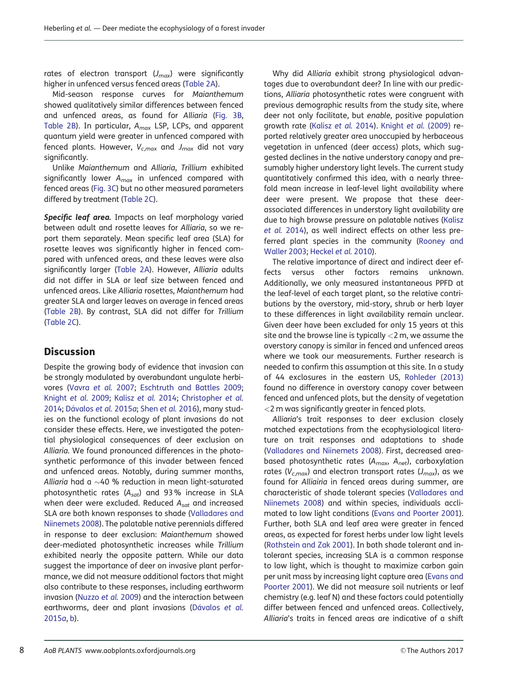rates of electron transport  $(J_{max})$  were significantly higher in unfenced versus fenced areas [\(Table 2A\)](#page-6-0).

Mid-season response curves for Maianthemum showed qualitatively similar differences between fenced and unfenced areas, as found for Alliaria ([Fig. 3B](#page-5-0), [Table 2B\)](#page-6-0). In particular,  $A_{max}$  LSP, LCPs, and apparent quantum yield were greater in unfenced compared with fenced plants. However,  $V_{c,max}$  and  $J_{max}$  did not vary significantly.

Unlike Maianthemum and Alliaria, Trillium exhibited significantly lower  $A_{max}$  in unfenced compared with fenced areas ([Fig. 3C](#page-5-0)) but no other measured parameters differed by treatment ([Table 2C\)](#page-6-0).

Specific leaf area. Impacts on leaf morphology varied between adult and rosette leaves for Alliaria, so we report them separately. Mean specific leaf area (SLA) for rosette leaves was significantly higher in fenced compared with unfenced areas, and these leaves were also significantly larger [\(Table 2A](#page-6-0)). However, Alliaria adults did not differ in SLA or leaf size between fenced and unfenced areas. Like Alliaria rosettes, Maianthemum had greater SLA and larger leaves on average in fenced areas ([Table 2B\)](#page-6-0). By contrast, SLA did not differ for Trillium ([Table 2C](#page-6-0)).

## **Discussion**

Despite the growing body of evidence that invasion can be strongly modulated by overabundant ungulate herbivores [\(Vavra](#page-11-0) et al. 2007; [Eschtruth and Battles 2009](#page-10-0); [Knight](#page-10-0) et al. 2009; [Kalisz](#page-10-0) et al. 2014; [Christopher](#page-10-0) et al. [2014;](#page-10-0) Dávalos et al. 2015a; Shen et al. [2016\)](#page-11-0), many studies on the functional ecology of plant invasions do not consider these effects. Here, we investigated the potential physiological consequences of deer exclusion on Alliaria. We found pronounced differences in the photosynthetic performance of this invader between fenced and unfenced areas. Notably, during summer months, Alliaria had a  $\sim$ 40 % reduction in mean light-saturated photosynthetic rates  $(A<sub>sat</sub>)$  and 93% increase in SLA when deer were excluded. Reduced  $A<sub>sat</sub>$  and increased SLA are both known responses to shade ([Valladares and](#page-11-0) [Niinemets 2008](#page-11-0)). The palatable native perennials differed in response to deer exclusion: Maianthemum showed deer-mediated photosynthetic increases while Trillium exhibited nearly the opposite pattern. While our data suggest the importance of deer on invasive plant performance, we did not measure additional factors that might also contribute to these responses, including earthworm invasion [\(Nuzzo](#page-11-0) et al. 2009) and the interaction between earthworms, deer and plant invasions [\(D](#page-10-0)ávalos [et al.](#page-10-0) [2015](#page-10-0)a, [b](#page-10-0)).

Why did Alliaria exhibit strong physiological advantages due to overabundant deer? In line with our predictions, Alliaria photosynthetic rates were congruent with previous demographic results from the study site, where deer not only facilitate, but enable, positive population growth rate ([Kalisz](#page-10-0) et al. 2014). [Knight](#page-10-0) et al. (2009) reported relatively greater area unoccupied by herbaceous vegetation in unfenced (deer access) plots, which suggested declines in the native understory canopy and presumably higher understory light levels. The current study quantitatively confirmed this idea, with a nearly threefold mean increase in leaf-level light availability where deer were present. We propose that these deerassociated differences in understory light availability are due to high browse pressure on palatable natives [\(Kalisz](#page-10-0) [et al.](#page-10-0) 2014), as well indirect effects on other less preferred plant species in the community [\(Rooney and](#page-11-0) [Waller 2003;](#page-11-0) [Heckel](#page-10-0) et al. 2010).

The relative importance of direct and indirect deer effects versus other factors remains unknown. Additionally, we only measured instantaneous PPFD at the leaf-level of each target plant, so the relative contributions by the overstory, mid-story, shrub or herb layer to these differences in light availability remain unclear. Given deer have been excluded for only 15 years at this site and the browse line is typically <2 m, we assume the overstory canopy is similar in fenced and unfenced areas where we took our measurements. Further research is needed to confirm this assumption at this site. In a study of 44 exclosures in the eastern US, [Rohleder \(2013\)](#page-11-0) found no difference in overstory canopy cover between fenced and unfenced plots, but the density of vegetation <2 m was significantly greater in fenced plots.

Alliaria's trait responses to deer exclusion closely matched expectations from the ecophysiological literature on trait responses and adaptations to shade ([Valladares and Niinemets 2008](#page-11-0)). First, decreased areabased photosynthetic rates  $(A_{max}, A_{net})$ , carboxylation rates ( $V_{c,max}$ ) and electron transport rates ( $J_{max}$ ), as we found for Alliairia in fenced areas during summer, are characteristic of shade tolerant species [\(Valladares and](#page-11-0) [Niinemets 2008](#page-11-0)) and within species, individuals acclimated to low light conditions ([Evans and Poorter 2001](#page-10-0)). Further, both SLA and leaf area were greater in fenced areas, as expected for forest herbs under low light levels ([Rothstein and Zak 2001\)](#page-11-0). In both shade tolerant and intolerant species, increasing SLA is a common response to low light, which is thought to maximize carbon gain per unit mass by increasing light capture area [\(Evans and](#page-10-0) [Poorter 2001\)](#page-10-0). We did not measure soil nutrients or leaf chemistry (e.g. leaf N) and these factors could potentially differ between fenced and unfenced areas. Collectively, Alliaria's traits in fenced areas are indicative of a shift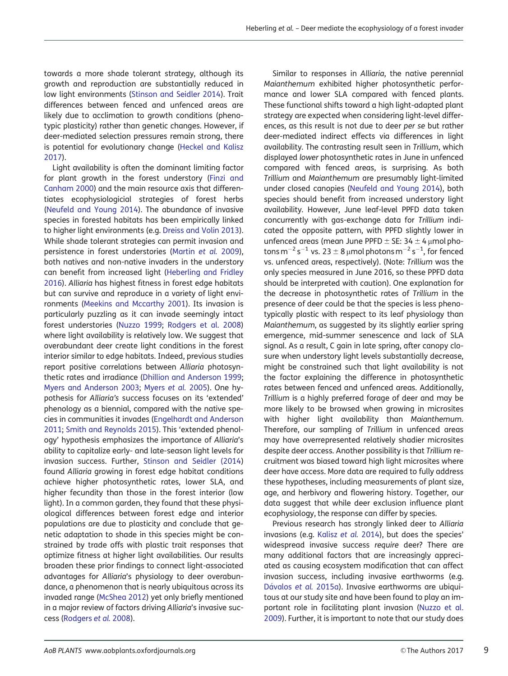towards a more shade tolerant strategy, although its growth and reproduction are substantially reduced in low light environments [\(Stinson and Seidler 2014\)](#page-11-0). Trait differences between fenced and unfenced areas are likely due to acclimation to growth conditions (phenotypic plasticity) rather than genetic changes. However, if deer-mediated selection pressures remain strong, there is potential for evolutionary change [\(Heckel and Kalisz](#page-10-0) [2017\)](#page-10-0).

Light availability is often the dominant limiting factor for plant growth in the forest understory ([Finzi and](#page-10-0) [Canham 2000\)](#page-10-0) and the main resource axis that differentiates ecophysiologicial strategies of forest herbs ([Neufeld and Young 2014\)](#page-11-0). The abundance of invasive species in forested habitats has been empirically linked to higher light environments (e.g. [Dreiss and Volin 2013](#page-10-0)). While shade tolerant strategies can permit invasion and persistence in forest understories [\(Martin](#page-11-0) et al. 2009), both natives and non-native invaders in the understory can benefit from increased light ([Heberling and Fridley](#page-10-0) [2016\)](#page-10-0). Alliaria has highest fitness in forest edge habitats but can survive and reproduce in a variety of light environments [\(Meekins and Mccarthy 2001\)](#page-11-0). Its invasion is particularly puzzling as it can invade seemingly intact forest understories [\(Nuzzo 1999;](#page-11-0) [Rodgers et al. 2008\)](#page-11-0) where light availability is relatively low. We suggest that overabundant deer create light conditions in the forest interior similar to edge habitats. Indeed, previous studies report positive correlations between Alliaria photosynthetic rates and irradiance [\(Dhillion and Anderson 1999](#page-10-0); [Myers and Anderson 2003](#page-11-0); [Myers](#page-11-0) et al. 2005). One hypothesis for Alliaria's success focuses on its 'extended' phenology as a biennial, compared with the native species in communities it invades [\(Engelhardt and Anderson](#page-10-0) [2011;](#page-10-0) [Smith and Reynolds 2015](#page-11-0)). This 'extended phenology' hypothesis emphasizes the importance of Alliaria's ability to capitalize early- and late-season light levels for invasion success. Further, [Stinson and Seidler \(2014\)](#page-11-0) found Alliaria growing in forest edge habitat conditions achieve higher photosynthetic rates, lower SLA, and higher fecundity than those in the forest interior (low light). In a common garden, they found that these physiological differences between forest edge and interior populations are due to plasticity and conclude that genetic adaptation to shade in this species might be constrained by trade offs with plastic trait responses that optimize fitness at higher light availabilities. Our results broaden these prior findings to connect light-associated advantages for Alliaria's physiology to deer overabundance, a phenomenon that is nearly ubiquitous across its invaded range [\(McShea 2012](#page-11-0)) yet only briefly mentioned in a major review of factors driving Alliaria's invasive success [\(Rodgers](#page-11-0) et al. 2008).

Similar to responses in Alliaria, the native perennial Maianthemum exhibited higher photosynthetic performance and lower SLA compared with fenced plants. These functional shifts toward a high light-adapted plant strategy are expected when considering light-level differences, as this result is not due to deer per se but rather deer-mediated indirect effects via differences in light availability. The contrasting result seen in Trillium, which displayed lower photosynthetic rates in June in unfenced compared with fenced areas, is surprising. As both Trillium and Maianthemum are presumably light-limited under closed canopies [\(Neufeld and Young 2014\)](#page-11-0), both species should benefit from increased understory light availability. However, June leaf-level PPFD data taken concurrently with gas-exchange data for Trillium indicated the opposite pattern, with PPFD slightly lower in unfenced areas (mean June PPFD  $\pm$  SE: 34  $\pm$  4 µmol photons m $^{-2}$  s $^{-1}$  vs. 23  $\pm$  8  $\mu$ mol photons m $^{-2}$  s $^{-1}$ , for fenced vs. unfenced areas, respectively). (Note: Trillium was the only species measured in June 2016, so these PPFD data should be interpreted with caution). One explanation for the decrease in photosynthetic rates of Trillium in the presence of deer could be that the species is less phenotypically plastic with respect to its leaf physiology than Maianthemum, as suggested by its slightly earlier spring emergence, mid-summer senescence and lack of SLA signal. As a result, C gain in late spring, after canopy closure when understory light levels substantially decrease, might be constrained such that light availability is not the factor explaining the difference in photosynthetic rates between fenced and unfenced areas. Additionally, Trillium is a highly preferred forage of deer and may be more likely to be browsed when growing in microsites with higher light availability than Maianthemum. Therefore, our sampling of Trillium in unfenced areas may have overrepresented relatively shadier microsites despite deer access. Another possibility is that Trillium recruitment was biased toward high light microsites where deer have access. More data are required to fully address these hypotheses, including measurements of plant size, age, and herbivory and flowering history. Together, our data suggest that while deer exclusion influence plant ecophysiology, the response can differ by species.

Previous research has strongly linked deer to Alliaria invasions (e.g. [Kalisz](#page-10-0) et al. 2014), but does the species' widespread invasive success require deer? There are many additional factors that are increasingly appreciated as causing ecosystem modification that can affect invasion success, including invasive earthworms (e.g. Dávalos et al. [2015a](#page-10-0)). Invasive earthworms are ubiquitous at our study site and have been found to play an important role in facilitating plant invasion ([Nuzzo et al.](#page-11-0) [2009\)](#page-11-0). Further, it is important to note that our study does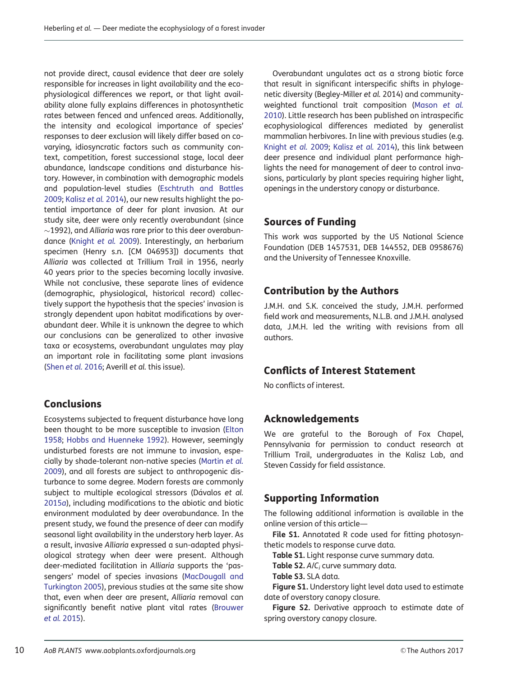not provide direct, causal evidence that deer are solely responsible for increases in light availability and the ecophysiological differences we report, or that light availability alone fully explains differences in photosynthetic rates between fenced and unfenced areas. Additionally, the intensity and ecological importance of species' responses to deer exclusion will likely differ based on covarying, idiosyncratic factors such as community context, competition, forest successional stage, local deer abundance, landscape conditions and disturbance history. However, in combination with demographic models and population-level studies ([Eschtruth and Battles](#page-10-0) [2009;](#page-10-0) [Kalisz](#page-10-0) et al. 2014), our new results highlight the potential importance of deer for plant invasion. At our study site, deer were only recently overabundant (since  $\sim$ 1992), and Alliaria was rare prior to this deer overabundance ([Knight](#page-10-0) et al. 2009). Interestingly, an herbarium specimen (Henry s.n. [CM 046953]) documents that Alliaria was collected at Trillium Trail in 1956, nearly 40 years prior to the species becoming locally invasive. While not conclusive, these separate lines of evidence (demographic, physiological, historical record) collectively support the hypothesis that the species' invasion is strongly dependent upon habitat modifications by overabundant deer. While it is unknown the degree to which our conclusions can be generalized to other invasive taxa or ecosystems, overabundant ungulates may play an important role in facilitating some plant invasions (Shen et al. [2016](#page-11-0); Averill et al. this issue).

## Conclusions

Ecosystems subjected to frequent disturbance have long been thought to be more susceptible to invasion [\(Elton](#page-10-0) [1958;](#page-10-0) [Hobbs and Huenneke 1992](#page-10-0)). However, seemingly undisturbed forests are not immune to invasion, especially by shade-tolerant non-native species ([Martin](#page-11-0) et al. [2009\)](#page-11-0), and all forests are subject to anthropogenic disturbance to some degree. Modern forests are commonly subject to multiple ecological stressors (Dávalos et al. [2015](#page-10-0)a), including modifications to the abiotic and biotic environment modulated by deer overabundance. In the present study, we found the presence of deer can modify seasonal light availability in the understory herb layer. As a result, invasive Alliaria expressed a sun-adapted physiological strategy when deer were present. Although deer-mediated facilitation in Alliaria supports the 'passengers' model of species invasions [\(MacDougall and](#page-10-0) [Turkington 2005](#page-10-0)), previous studies at the same site show that, even when deer are present, Alliaria removal can significantly benefit native plant vital rates [\(Brouwer](#page-10-0) et al. [2015\)](#page-10-0).

Overabundant ungulates act as a strong biotic force that result in significant interspecific shifts in phylogenetic diversity (Begley-Miller et al. 2014) and communityweighted functional trait composition [\(Mason](#page-11-0) et al. [2010\)](#page-11-0). Little research has been published on intraspecific ecophysiological differences mediated by generalist mammalian herbivores. In line with previous studies (e.g. [Knight](#page-10-0) et al. 2009; [Kalisz](#page-10-0) et al. 2014), this link between deer presence and individual plant performance highlights the need for management of deer to control invasions, particularly by plant species requiring higher light, openings in the understory canopy or disturbance.

## Sources of Funding

This work was supported by the US National Science Foundation (DEB 1457531, DEB 144552, DEB 0958676) and the University of Tennessee Knoxville.

## Contribution by the Authors

J.M.H. and S.K. conceived the study, J.M.H. performed field work and measurements, N.L.B. and J.M.H. analysed data, J.M.H. led the writing with revisions from all authors.

## Conflicts of Interest Statement

No conflicts of interest.

## Acknowledgements

We are grateful to the Borough of Fox Chapel, Pennsylvania for permission to conduct research at Trillium Trail, undergraduates in the Kalisz Lab, and Steven Cassidy for field assistance.

## Supporting Information

The following additional information is available in the online version of this article—

File S1. Annotated R code used for fitting photosynthetic models to response curve data.

Table S1. Light response curve summary data.

Table S2.  $A/C_i$  curve summary data.

Table S3. SLA data.

Figure S1. Understory light level data used to estimate date of overstory canopy closure.

Figure S2. Derivative approach to estimate date of spring overstory canopy closure.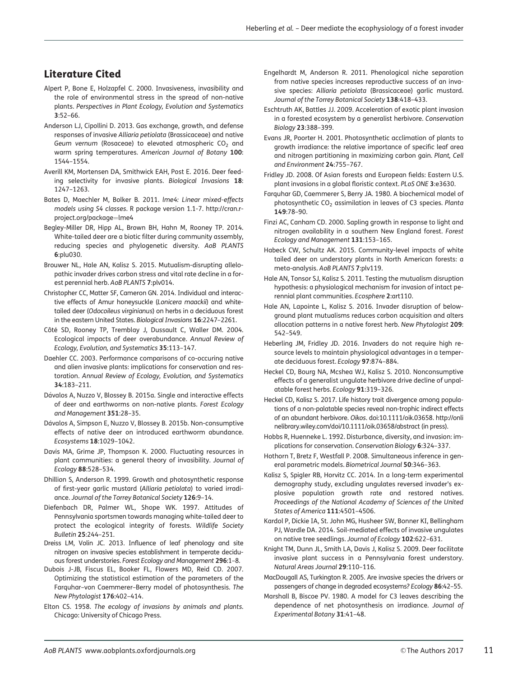## <span id="page-10-0"></span>Literature Cited

- Alpert P, Bone E, Holzapfel C. 2000. Invasiveness, invasibility and the role of environmental stress in the spread of non-native plants. Perspectives in Plant Ecology, Evolution and Systematics 3:52–66.
- Anderson LJ, Cipollini D. 2013. Gas exchange, growth, and defense responses of invasive Alliaria petiolata (Brassicaceae) and native Geum vernum (Rosaceae) to elevated atmospheric  $CO<sub>2</sub>$  and warm spring temperatures. American Journal of Botany 100: 1544–1554.
- Averill KM, Mortensen DA, Smithwick EAH, Post E. 2016. Deer feeding selectivity for invasive plants. Biological Invasions 18: 1247–1263.
- Bates D, Maechler M, Bolker B. 2011. lme4: Linear mixed-effects models using S4 classes. R package version 1.1-7. [http://cran.r](http://cran.r-project.org/package=lme4)[project.org/package](http://cran.r-project.org/package=lme4)=[lme4](http://cran.r-project.org/package=lme4)
- Begley-Miller DR, Hipp AL, Brown BH, Hahn M, Rooney TP. 2014. White-tailed deer are a biotic filter during community assembly, reducing species and phylogenetic diversity. AoB PLANTS 6:plu030.
- Brouwer NL, Hale AN, Kalisz S. 2015. Mutualism-disrupting allelopathic invader drives carbon stress and vital rate decline in a forest perennial herb. AoB PLANTS 7:plv014.
- Christopher CC, Matter SF, Cameron GN. 2014. Individual and interactive effects of Amur honeysuckle (Lonicera maackii) and whitetailed deer (Odocoileus virginianus) on herbs in a deciduous forest in the eastern United States. Biological Invasions 16:2247–2261.
- Côté SD, Rooney TP, Tremblay J, Dussault C, Waller DM. 2004. Ecological impacts of deer overabundance. Annual Review of Ecology, Evolution, and Systematics 35:113–147.
- Daehler CC. 2003. Performance comparisons of co-occuring native and alien invasive plants: implications for conservation and restoration. Annual Review of Ecology, Evolution, and Systematics 34:183–211.
- Dávalos A, Nuzzo V, Blossey B. 2015a. Single and interactive effects of deer and earthworms on non-native plants. Forest Ecology and Management 351:28–35.
- Dávalos A, Simpson E, Nuzzo V, Blossey B. 2015b. Non-consumptive effects of native deer on introduced earthworm abundance. Ecosystems 18:1029–1042.
- Davis MA, Grime JP, Thompson K. 2000. Fluctuating resources in plant communities: a general theory of invasibility. Journal of Ecology 88:528–534.
- Dhillion S, Anderson R. 1999. Growth and photosynthetic response of first-year garlic mustard (Alliaria petiolata) to varied irradiance. Journal of the Torrey Botanical Society 126:9–14.
- Diefenbach DR, Palmer WL, Shope WK. 1997. Attitudes of Pennsylvania sportsmen towards managing white-tailed deer to protect the ecological integrity of forests. Wildlife Society Bulletin 25:244–251.
- Dreiss LM, Volin JC. 2013. Influence of leaf phenology and site nitrogen on invasive species establishment in temperate deciduous forest understories. Forest Ecology and Management 296:1–8.
- Dubois J-JB, Fiscus EL, Booker FL, Flowers MD, Reid CD. 2007. Optimizing the statistical estimation of the parameters of the Farquhar–von Caemmerer–Berry model of photosynthesis. The New Phytologist 176:402–414.
- Elton CS. 1958. The ecology of invasions by animals and plants. Chicago: University of Chicago Press.
- Engelhardt M, Anderson R. 2011. Phenological niche separation from native species increases reproductive success of an invasive species: Alliaria petiolata (Brassicaceae) garlic mustard. Journal of the Torrey Botanical Society 138:418–433.
- Eschtruth AK, Battles JJ. 2009. Acceleration of exotic plant invasion in a forested ecosystem by a generalist herbivore. Conservation Biology 23:388–399.
- Evans JR, Poorter H. 2001. Photosynthetic acclimation of plants to growth irradiance: the relative importance of specific leaf area and nitrogen partitioning in maximizing carbon gain. Plant, Cell and Environment 24:755–767.
- Fridley JD. 2008. Of Asian forests and European fields: Eastern U.S. plant invasions in a global floristic context. PLoS ONE 3:e3630.
- Farquhar GD, Caemmerer S, Berry JA. 1980. A biochemical model of photosynthetic  $CO<sub>2</sub>$  assimilation in leaves of C3 species. Planta 149:78–90.
- Finzi AC, Canham CD. 2000. Sapling growth in response to light and nitrogen availability in a southern New England forest. Forest Ecology and Management 131:153–165.
- Habeck CW, Schultz AK. 2015. Community-level impacts of white tailed deer on understory plants in North American forests: a meta-analysis. AoB PLANTS 7:plv119.
- Hale AN, Tonsor SJ, Kalisz S. 2011. Testing the mutualism disruption hypothesis: a physiological mechanism for invasion of intact perennial plant communities. Ecosphere 2:art110.
- Hale AN, Lapointe L, Kalisz S. 2016. Invader disruption of belowground plant mutualisms reduces carbon acquisition and alters allocation patterns in a native forest herb. New Phytologist 209: 542–549.
- Heberling JM, Fridley JD. 2016. Invaders do not require high resource levels to maintain physiological advantages in a temperate deciduous forest. Ecology 97:874–884.
- Heckel CD, Bourg NA, Mcshea WJ, Kalisz S. 2010. Nonconsumptive effects of a generalist ungulate herbivore drive decline of unpalatable forest herbs. Ecology 91:319–326.
- Heckel CD, Kalisz S. 2017. Life history trait divergence among populations of a non-palatable species reveal non-trophic indirect effects of an abundant herbivore. Oikos. doi:10.1111/oik.03658. [http://onli](http://onlinelibrary.wiley.com/doi/10.1111/oik.03658/abstract) [nelibrary.wiley.com/doi/10.1111/oik.03658/abstract](http://onlinelibrary.wiley.com/doi/10.1111/oik.03658/abstract) (in press).
- Hobbs R, Huenneke L. 1992. Disturbance, diversity, and invasion: implications for conservation. Conservation Biology 6:324–337.
- Hothorn T, Bretz F, Westfall P. 2008. Simultaneous inference in general parametric models. Biometrical Journal 50:346–363.
- Kalisz S, Spigler RB, Horvitz CC. 2014. In a long-term experimental demography study, excluding ungulates reversed invader's explosive population growth rate and restored natives. Proceedings of the National Academy of Sciences of the United States of America 111:4501–4506.
- Kardol P, Dickie IA, St. John MG, Husheer SW, Bonner KI, Bellingham PJ, Wardle DA. 2014. Soil-mediated effects of invasive ungulates on native tree seedlings. Journal of Ecology 102:622–631.
- Knight TM, Dunn JL, Smith LA, Davis J, Kalisz S. 2009. Deer facilitate invasive plant success in a Pennsylvania forest understory. Natural Areas Journal 29:110–116.
- MacDougall AS, Turkington R. 2005. Are invasive species the drivers or passengers of change in degraded ecosystems? Ecology 86:42–55.
- Marshall B, Biscoe PV. 1980. A model for C3 leaves describing the dependence of net photosynthesis on irradiance. Journal of Experimental Botany 31:41–48.